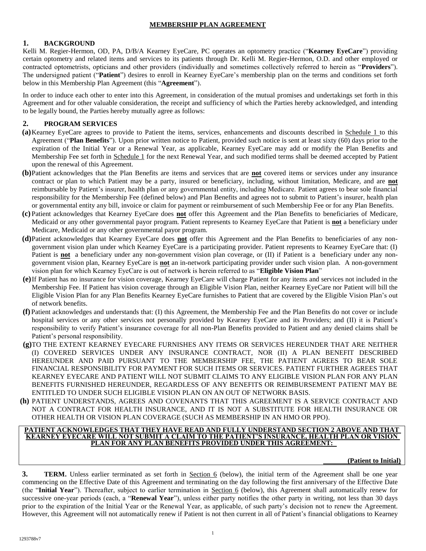### **MEMBERSHIP PLAN AGREEMENT**

### **1. BACKGROUND**

Kelli M. Regier-Hermon, OD, PA, D/B/A Kearney EyeCare, PC operates an optometry practice ("**Kearney EyeCare**") providing certain optometry and related items and services to its patients through Dr. Kelli M. Regier-Hermon, O.D. and other employed or contracted optometrists, opticians and other providers (individually and sometimes collectively referred to herein as "**Providers**"). The undersigned patient ("**Patient**") desires to enroll in Kearney EyeCare's membership plan on the terms and conditions set forth below in this Membership Plan Agreement (this "**Agreement**").

In order to induce each other to enter into this Agreement, in consideration of the mutual promises and undertakings set forth in this Agreement and for other valuable consideration, the receipt and sufficiency of which the Parties hereby acknowledged, and intending to be legally bound, the Parties hereby mutually agree as follows:

# **2. PROGRAM SERVICES**

- **(a)**Kearney EyeCare agrees to provide to Patient the items, services, enhancements and discounts described in Schedule 1 to this Agreement ("**Plan Benefits**"). Upon prior written notice to Patient, provided such notice is sent at least sixty (60) days prior to the expiration of the Initial Year or a Renewal Year, as applicable, Kearney EyeCare may add or modify the Plan Benefits and Membership Fee set forth in Schedule 1 for the next Renewal Year, and such modified terms shall be deemed accepted by Patient upon the renewal of this Agreement.
- **(b)**Patient acknowledges that the Plan Benefits are items and services that are **not** covered items or services under any insurance contract or plan to which Patient may be a party, insured or beneficiary, including, without limitation, Medicare, and are **not** reimbursable by Patient's insurer, health plan or any governmental entity, including Medicare. Patient agrees to bear sole financial responsibility for the Membership Fee (defined below) and Plan Benefits and agrees not to submit to Patient's insurer, health plan or governmental entity any bill, invoice or claim for payment or reimbursement of such Membership Fee or for any Plan Benefits.
- **(c)** Patient acknowledges that Kearney EyeCare does **not** offer this Agreement and the Plan Benefits to beneficiaries of Medicare, Medicaid or any other governmental payor program. Patient represents to Kearney EyeCare that Patient is **not** a beneficiary under Medicare, Medicaid or any other governmental payor program.
- **(d)**Patient acknowledges that Kearney EyeCare does **not** offer this Agreement and the Plan Benefits to beneficiaries of any nongovernment vision plan under which Kearney EyeCare is a participating provider. Patient represents to Kearney EyeCare that: (I) Patient is **not** a beneficiary under any non-government vision plan coverage, or (II) if Patient is a beneficiary under any nongovernment vision plan, Kearney EyeCare is **not** an in-network participating provider under such vision plan. A non-government vision plan for which Kearney EyeCare is out of network is herein referred to as "**Eligible Vision Plan**"
- **(e)**If Patient has no insurance for vision coverage, Kearney EyeCare will charge Patient for any items and services not included in the Membership Fee. If Patient has vision coverage through an Eligible Vision Plan, neither Kearney EyeCare nor Patient will bill the Eligible Vision Plan for any Plan Benefits Kearney EyeCare furnishes to Patient that are covered by the Eligible Vision Plan's out of network benefits.
- **(f)** Patient acknowledges and understands that: (I) this Agreement, the Membership Fee and the Plan Benefits do not cover or include hospital services or any other services not personally provided by Kearney EyeCare and its Providers; and (II) it is Patient's responsibility to verify Patient's insurance coverage for all non-Plan Benefits provided to Patient and any denied claims shall be Patient's personal responsibility.
- **(g)**TO THE EXTENT KEARNEY EYECARE FURNISHES ANY ITEMS OR SERVICES HEREUNDER THAT ARE NEITHER (I) COVERED SERVICES UNDER ANY INSURANCE CONTRACT, NOR (II) A PLAN BENEFIT DESCRIBED HEREUNDER AND PAID PURSUANT TO THE MEMBERSHIP FEE, THE PATIENT AGREES TO BEAR SOLE FINANCIAL RESPONSIBILITY FOR PAYMENT FOR SUCH ITEMS OR SERVICES. PATIENT FURTHER AGREES THAT KEARNEY EYECARE AND PATIENT WILL NOT SUBMIT CLAIMS TO ANY ELIGIBLE VISION PLAN FOR ANY PLAN BENEFITS FURNISHED HEREUNDER, REGARDLESS OF ANY BENEFITS OR REIMBURSEMENT PATIENT MAY BE ENTITLED TO UNDER SUCH ELIGIBLE VISION PLAN ON AN OUT OF NETWORK BASIS.
- **(h)** PATIENT UNDERSTANDS, AGREES AND COVENANTS THAT THIS AGREEMENT IS A SERVICE CONTRACT AND NOT A CONTRACT FOR HEALTH INSURANCE, AND IT IS NOT A SUBSTITUTE FOR HEALTH INSURANCE OR OTHER HEALTH OR VISION PLAN COVERAGE (SUCH AS MEMBERSHIP IN AN HMO OR PPO).

#### **PATIENT ACKNOWLEDGES THAT THEY HAVE READ AND FULLY UNDERSTAND SECTION 2 ABOVE AND THAT KEARNEY EYECARE WILL NOT SUBMIT A CLAIM TO THE PATIENT'S INSURANCE, HEALTH PLAN OR VISION PLAN FOR ANY PLAN BENEFITS PROVIDED UNDER THIS AGREEMENT:**

### **(Patient to Initial)**

**3. TERM.** Unless earlier terminated as set forth in Section 6 (below), the initial term of the Agreement shall be one year commencing on the Effective Date of this Agreement and terminating on the day following the first anniversary of the Effective Date (the "**Initial Year**"). Thereafter, subject to earlier termination in Section 6 (below), this Agreement shall automatically renew for successive one-year periods (each, a "**Renewal Year**"), unless either party notifies the other party in writing, not less than 30 days prior to the expiration of the Initial Year or the Renewal Year, as applicable, of such party's decision not to renew the Agreement. However, this Agreement will not automatically renew if Patient is not then current in all of Patient's financial obligations to Kearney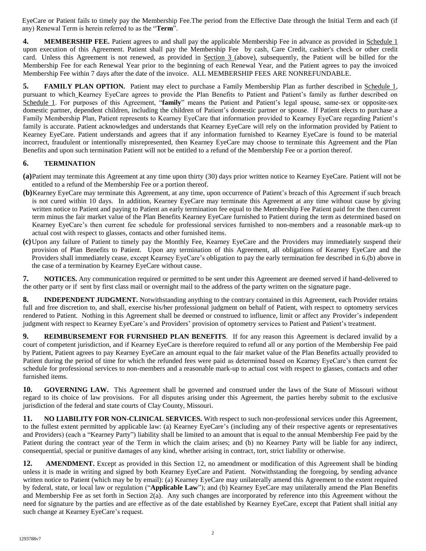EyeCare or Patient fails to timely pay the Membership Fee.The period from the Effective Date through the Initial Term and each (if any) Renewal Term is herein referred to as the "**Term**".

**4. MEMBERSHIP FEE.** Patient agrees to and shall pay the applicable Membership Fee in advance as provided in Schedule 1 upon execution of this Agreement. Patient shall pay the Membership Fee by cash, Care Credit, cashier's check or other credit card. Unless this Agreement is not renewed, as provided in Section 3 (above), subsequently, the Patient will be billed for the Membership Fee for each Renewal Year prior to the beginning of each Renewal Year, and the Patient agrees to pay the invoiced Membership Fee within 7 days after the date of the invoice. ALL MEMBERSHIP FEES ARE NONREFUNDABLE.

**5. FAMILY PLAN OPTION.** Patient may elect to purchase a Family Membership Plan as further described in Schedule 1, pursuant to which Kearney EyeCare agrees to provide the Plan Benefits to Patient and Patient's family as further described on Schedule 1. For purposes of this Agreement, "**family**" means the Patient and Patient's legal spouse, same-sex or opposite-sex domestic partner, dependent children, including the children of Patient's domestic partner or spouse. If Patient elects to purchase a Family Membership Plan, Patient represents to Kearney EyeCare that information provided to Kearney EyeCare regarding Patient's family is accurate. Patient acknowledges and understands that Kearney EyeCare will rely on the information provided by Patient to Kearney EyeCare. Patient understands and agrees that if any information furnished to Kearney EyeCare is found to be material incorrect, fraudulent or intentionally misrepresented, then Kearney EyeCare may choose to terminate this Agreement and the Plan Benefits and upon such termination Patient will not be entitled to a refund of the Membership Fee or a portion thereof.

# **6. TERMINATION**

- **(a)**Patient may terminate this Agreement at any time upon thirty (30) days prior written notice to Kearney EyeCare. Patient will not be entitled to a refund of the Membership Fee or a portion thereof.
- **(b)**Kearney EyeCare may terminate this Agreement, at any time, upon occurrence of Patient's breach of this Agreement if such breach is not cured within 10 days. In addition, Kearney EyeCare may terminate this Agreement at any time without cause by giving written notice to Patient and paying to Patient an early termination fee equal to the Membership Fee Patient paid for the then current term minus the fair market value of the Plan Benefits Kearney EyeCare furnished to Patient during the term as determined based on Kearney EyeCare's then current fee schedule for professional services furnished to non-members and a reasonable mark-up to actual cost with respect to glasses, contacts and other furnished items.
- **(c)**Upon any failure of Patient to timely pay the Monthly Fee, Kearney EyeCare and the Providers may immediately suspend their provision of Plan Benefits to Patient. Upon any termination of this Agreement, all obligations of Kearney EyeCare and the Providers shall immediately cease, except Kearney EyeCare's obligation to pay the early termination fee described in 6.(b) above in the case of a termination by Kearney EyeCare without cause.

**7. NOTICES.** Any communication required or permitted to be sent under this Agreement are deemed served if hand-delivered to the other party or if sent by first class mail or overnight mail to the address of the party written on the signature page.

**8. INDEPENDENT JUDGMENT.** Notwithstanding anything to the contrary contained in this Agreement, each Provider retains full and free discretion to, and shall, exercise his/her professional judgment on behalf of Patient, with respect to optometry services rendered to Patient. Nothing in this Agreement shall be deemed or construed to influence, limit or affect any Provider's independent judgment with respect to Kearney EyeCare's and Providers' provision of optometry services to Patient and Patient's treatment.

**9. REIMBURSEMENT FOR FURNISHED PLAN BENEFITS**. If for any reason this Agreement is declared invalid by a court of competent jurisdiction, and if Kearney EyeCare is therefore required to refund all or any portion of the Membership Fee paid by Patient, Patient agrees to pay Kearney EyeCare an amount equal to the fair market value of the Plan Benefits actually provided to Patient during the period of time for which the refunded fees were paid as determined based on Kearney EyeCare's then current fee schedule for professional services to non-members and a reasonable mark-up to actual cost with respect to glasses, contacts and other furnished items.

**10. GOVERNING LAW.** This Agreement shall be governed and construed under the laws of the State of Missouri without regard to its choice of law provisions. For all disputes arising under this Agreement, the parties hereby submit to the exclusive jurisdiction of the federal and state courts of Clay County, Missouri.

**11. NO LIABILITY FOR NON-CLINICAL SERVICES.** With respect to such non-professional services under this Agreement, to the fullest extent permitted by applicable law: (a) Kearney EyeCare's (including any of their respective agents or representatives and Providers) (each a "Kearney Party") liability shall be limited to an amount that is equal to the annual Membership Fee paid by the Patient during the contract year of the Term in which the claim arises; and (b) no Kearney Party will be liable for any indirect, consequential, special or punitive damages of any kind, whether arising in contract, tort, strict liability or otherwise.

**12. AMENDMENT.** Except as provided in this Section 12, no amendment or modification of this Agreement shall be binding unless it is made in writing and signed by both Kearney EyeCare and Patient. Notwithstanding the foregoing, by sending advance written notice to Patient (which may be by email): (a) Kearney EyeCare may unilaterally amend this Agreement to the extent required by federal, state, or local law or regulation ("**Applicable Law**"); and (b) Kearney EyeCare may unilaterally amend the Plan Benefits and Membership Fee as set forth in Section 2(a). Any such changes are incorporated by reference into this Agreement without the need for signature by the parties and are effective as of the date established by Kearney EyeCare, except that Patient shall initial any such change at Kearney EyeCare's request.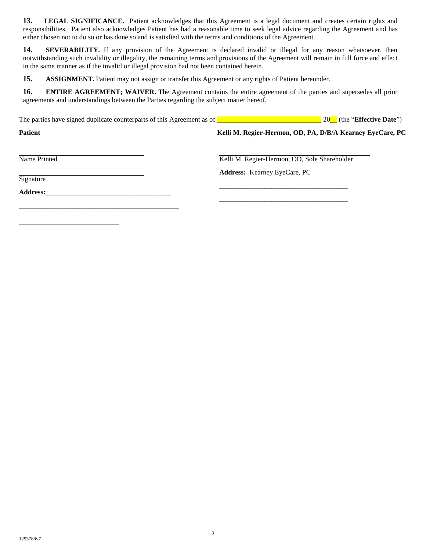**13. LEGAL SIGNIFICANCE.** Patient acknowledges that this Agreement is a legal document and creates certain rights and responsibilities. Patient also acknowledges Patient has had a reasonable time to seek legal advice regarding the Agreement and has either chosen not to do so or has done so and is satisfied with the terms and conditions of the Agreement.

**14. SEVERABILITY.** If any provision of the Agreement is declared invalid or illegal for any reason whatsoever, then notwithstanding such invalidity or illegality, the remaining terms and provisions of the Agreement will remain in full force and effect in the same manner as if the invalid or illegal provision had not been contained herein.

**15. ASSIGNMENT.** Patient may not assign or transfer this Agreement or any rights of Patient hereunder.

**16. ENTIRE AGREEMENT; WAIVER.** The Agreement contains the entire agreement of the parties and supersedes all prior agreements and understandings between the Parties regarding the subject matter hereof.

The parties have signed duplicate counterparts of this Agreement as of **Languary 20** Let (the "**Effective Date**")

**Patient Charges Constraint Region Constraint Region Constraint Region Constraint Region Constraint Region Constraint Region Constraint Region Constraint Region Construction Region Construction Region Constraint Region Con** 

Name Printed **Kelli M. Regier-Hermon, OD, Sole Shareholder** Kelli M. Regier-Hermon, OD, Sole Shareholder

\_\_\_\_\_\_\_\_\_\_\_\_\_\_\_\_\_\_\_\_\_\_\_\_\_\_\_\_\_\_\_\_\_\_\_\_\_\_\_\_\_\_\_\_\_\_

\_\_\_\_\_\_\_\_\_\_\_\_\_\_\_\_\_\_\_\_\_\_\_\_\_\_\_\_\_\_\_\_\_\_\_\_\_

\_\_\_\_\_\_\_\_\_\_\_\_\_\_\_\_\_\_\_\_\_\_\_\_\_\_\_\_\_\_\_\_\_\_\_\_\_

Signature

**Address:\_\_\_\_\_\_\_\_\_\_\_\_\_\_\_\_\_\_\_\_\_\_\_\_\_\_\_\_\_\_\_\_\_\_\_\_**

**Address:** Kearney EyeCare, PC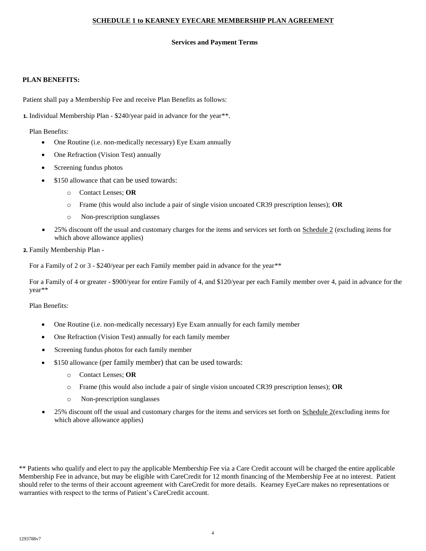# **SCHEDULE 1 to KEARNEY EYECARE MEMBERSHIP PLAN AGREEMENT**

### **Services and Payment Terms**

### **PLAN BENEFITS:**

Patient shall pay a Membership Fee and receive Plan Benefits as follows:

**1.** Individual Membership Plan - \$240/year paid in advance for the year\*\*.

Plan Benefits:

- One Routine (i.e. non-medically necessary) Eye Exam annually
- One Refraction (Vision Test) annually
- Screening fundus photos
- \$150 allowance that can be used towards:
	- o Contact Lenses; **OR**
	- o Frame (this would also include a pair of single vision uncoated CR39 prescription lenses); **OR**
	- o Non-prescription sunglasses
- 25% discount off the usual and customary charges for the items and services set forth on Schedule 2 (excluding items for which above allowance applies)

### **2.** Family Membership Plan -

For a Family of 2 or 3 - \$240/year per each Family member paid in advance for the year\*\*

For a Family of 4 or greater - \$900/year for entire Family of 4, and \$120/year per each Family member over 4, paid in advance for the year\*\*

Plan Benefits:

- One Routine (i.e. non-medically necessary) Eye Exam annually for each family member
- One Refraction (Vision Test) annually for each family member
- Screening fundus photos for each family member
- \$150 allowance (per family member) that can be used towards:
	- o Contact Lenses; **OR**
	- o Frame (this would also include a pair of single vision uncoated CR39 prescription lenses); **OR**
	- o Non-prescription sunglasses
- 25% discount off the usual and customary charges for the items and services set forth on Schedule 2(excluding items for which above allowance applies)

\*\* Patients who qualify and elect to pay the applicable Membership Fee via a Care Credit account will be charged the entire applicable Membership Fee in advance, but may be eligible with CareCredit for 12 month financing of the Membership Fee at no interest. Patient should refer to the terms of their account agreement with CareCredit for more details. Kearney EyeCare makes no representations or warranties with respect to the terms of Patient's CareCredit account.